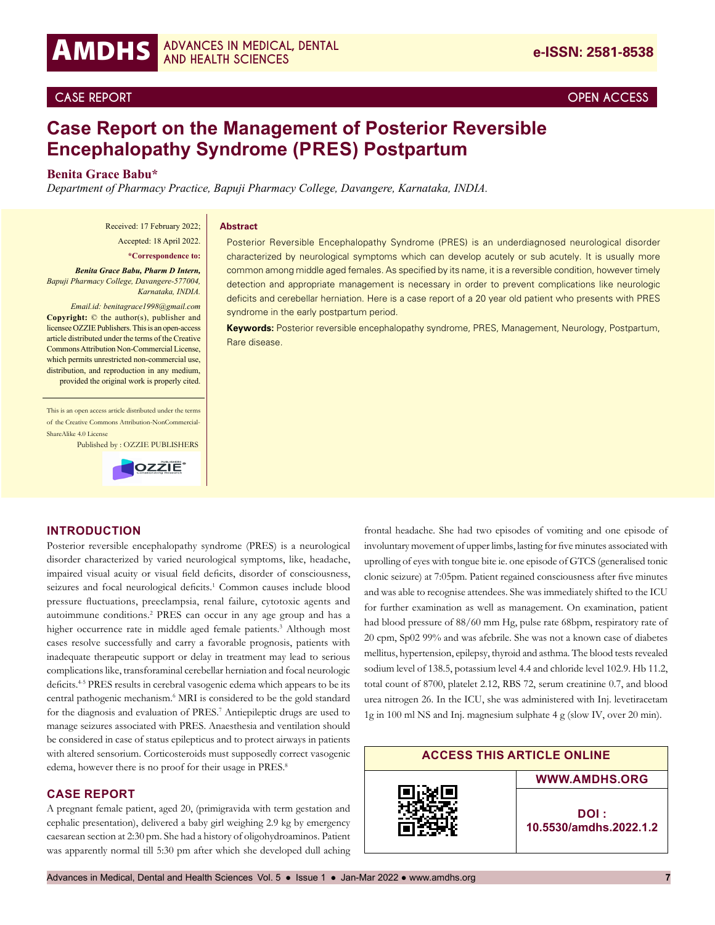## **CASE REPORT OPEN ACCESS**

# **Case Report on the Management of Posterior Reversible Encephalopathy Syndrome (PRES) Postpartum**

## **Benita Grace Babu\***

*Department of Pharmacy Practice, Bapuji Pharmacy College, Davangere, Karnataka, INDIA.*

Received: 17 February 2022; Accepted: 18 April 2022.

#### **Abstract**

**\*Correspondence to:**

*Benita Grace Babu, Pharm D Intern, Bapuji Pharmacy College, Davangere-577004, Karnataka, INDIA.* 

*Email.id: benitagrace1998@gmail.com* **Copyright:** © the author(s), publisher and licensee OZZIE Publishers. This is an open-access article distributed under the terms of the Creative Commons Attribution Non-Commercial License, which permits unrestricted non-commercial use, distribution, and reproduction in any medium, provided the original work is properly cited.

This is an open access article distributed under the terms of the Creative Commons Attribution-NonCommercial-ShareAlike 4.0 License

Published by : OZZIE PUBLISHERS



Posterior Reversible Encephalopathy Syndrome (PRES) is an underdiagnosed neurological disorder characterized by neurological symptoms which can develop acutely or sub acutely. It is usually more common among middle aged females. As specified by its name, it is a reversible condition, however timely detection and appropriate management is necessary in order to prevent complications like neurologic deficits and cerebellar herniation. Here is a case report of a 20 year old patient who presents with PRES syndrome in the early postpartum period.

**Keywords:** Posterior reversible encephalopathy syndrome, PRES, Management, Neurology, Postpartum, Rare disease.

#### **INTRODUCTION**

Posterior reversible encephalopathy syndrome (PRES) is a neurological disorder characterized by varied neurological symptoms, like, headache, impaired visual acuity or visual field deficits, disorder of consciousness, seizures and focal neurological deficits.<sup>1</sup> Common causes include blood pressure fluctuations, preeclampsia, renal failure, cytotoxic agents and autoimmune conditions.2 PRES can occur in any age group and has a higher occurrence rate in middle aged female patients.<sup>3</sup> Although most cases resolve successfully and carry a favorable prognosis, patients with inadequate therapeutic support or delay in treatment may lead to serious complications like, transforaminal cerebellar herniation and focal neurologic deficits.4-5 PRES results in cerebral vasogenic edema which appears to be its central pathogenic mechanism.<sup>6</sup> MRI is considered to be the gold standard for the diagnosis and evaluation of PRES.<sup>7</sup> Antiepileptic drugs are used to manage seizures associated with PRES. Anaesthesia and ventilation should be considered in case of status epilepticus and to protect airways in patients with altered sensorium. Corticosteroids must supposedly correct vasogenic edema, however there is no proof for their usage in PRES.<sup>8</sup>

#### **CASE REPORT**

A pregnant female patient, aged 20, (primigravida with term gestation and cephalic presentation), delivered a baby girl weighing 2.9 kg by emergency caesarean section at 2:30 pm. She had a history of oligohydroaminos. Patient was apparently normal till 5:30 pm after which she developed dull aching frontal headache. She had two episodes of vomiting and one episode of involuntary movement of upper limbs, lasting for five minutes associated with uprolling of eyes with tongue bite ie. one episode of GTCS (generalised tonic clonic seizure) at 7:05pm. Patient regained consciousness after five minutes and was able to recognise attendees. She was immediately shifted to the ICU for further examination as well as management. On examination, patient had blood pressure of 88/60 mm Hg, pulse rate 68bpm, respiratory rate of 20 cpm, Sp02 99% and was afebrile. She was not a known case of diabetes mellitus, hypertension, epilepsy, thyroid and asthma. The blood tests revealed sodium level of 138.5, potassium level 4.4 and chloride level 102.9. Hb 11.2, total count of 8700, platelet 2.12, RBS 72, serum creatinine 0.7, and blood urea nitrogen 26. In the ICU, she was administered with Inj. levetiracetam 1g in 100 ml NS and Inj. magnesium sulphate 4 g (slow IV, over 20 min).